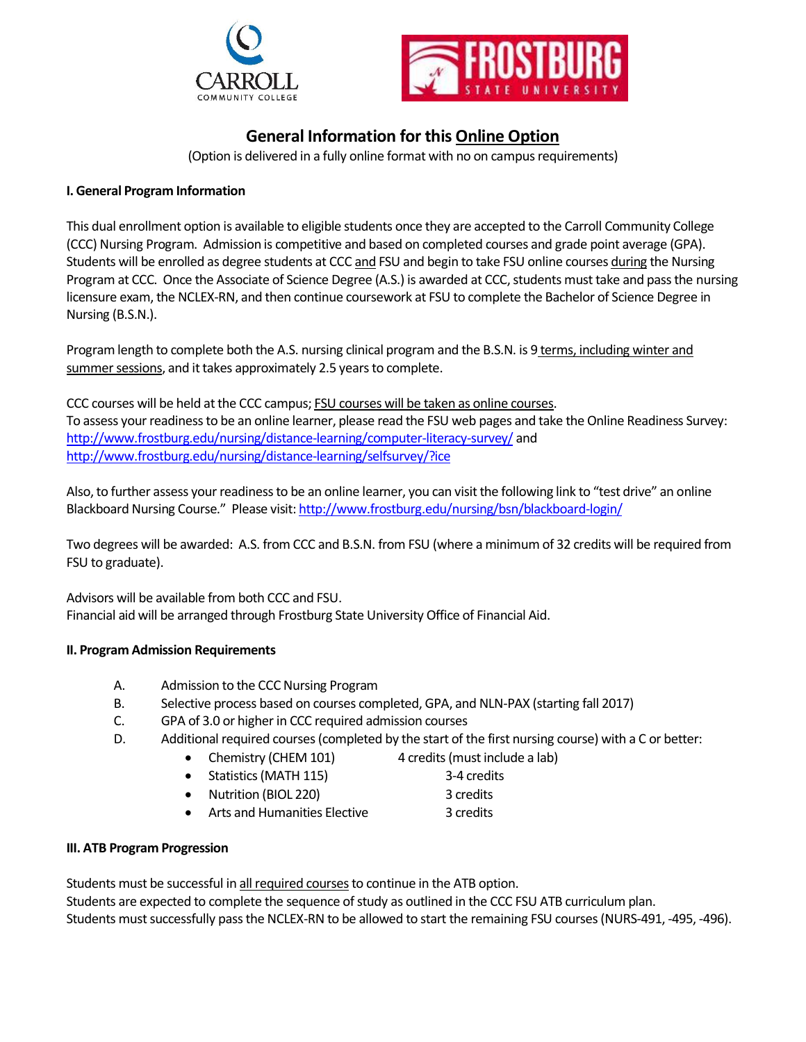



# **General Information for this Online Option**

(Option is delivered in a fully online format with no on campus requirements)

# **I. General Program Information**

This dual enrollment option is available to eligible students once they are accepted to the Carroll Community College (CCC) Nursing Program. Admission is competitive and based on completed courses and grade point average (GPA). Students will be enrolled as degree students at CCC and FSU and begin to take FSU online courses during the Nursing Program at CCC. Once the Associate of Science Degree (A.S.) is awarded at CCC, students must take and pass the nursing licensure exam, the NCLEX-RN, and then continue coursework at FSU to complete the Bachelor of Science Degree in Nursing (B.S.N.).

Program length to complete both the A.S. nursing clinical program and the B.S.N. is 9 terms, including winter and summer sessions, and it takes approximately 2.5 years to complete.

CCC courses will be held at the CCC campus; FSU courses will be taken as online courses. To assess your readiness to be an online learner, please read the FSU web pages and take the Online Readiness Survey: <http://www.frostburg.edu/nursing/distance-learning/computer-literacy-survey/> and <http://www.frostburg.edu/nursing/distance-learning/selfsurvey/?ice>

Also, to further assess your readiness to be an online learner, you can visit the following link to "test drive" an online Blackboard Nursing Course." Please visit[: http://www.frostburg.edu/nursing/bsn/blackboard-login/](http://www.frostburg.edu/nursing/bsn/blackboard-login/)

Two degrees will be awarded: A.S. from CCC and B.S.N. from FSU (where a minimum of 32 credits will be required from FSU to graduate).

Advisors will be available from both CCC and FSU. Financial aid will be arranged through Frostburg State University Office of Financial Aid.

## **II. Program Admission Requirements**

- A. Admission to the CCC Nursing Program
- B. Selective process based on courses completed, GPA, and NLN-PAX (starting fall 2017)
- C. GPA of 3.0 or higher in CCC required admission courses
- D. Additional required courses(completed by the start of the first nursing course) with a C or better:
	- Chemistry (CHEM 101) 4 credits (must include a lab)
	- Statistics(MATH 115) 3-4 credits
		-
		- Nutrition (BIOL 220) 3 credits
	- Arts and Humanities Elective 3 credits

## **III. ATB Program Progression**

Students must be successful in all required courses to continue in the ATB option. Students are expected to complete the sequence of study as outlined in the CCC FSU ATB curriculum plan. Students must successfully pass the NCLEX-RN to be allowed to start the remaining FSU courses(NURS-491, -495, -496).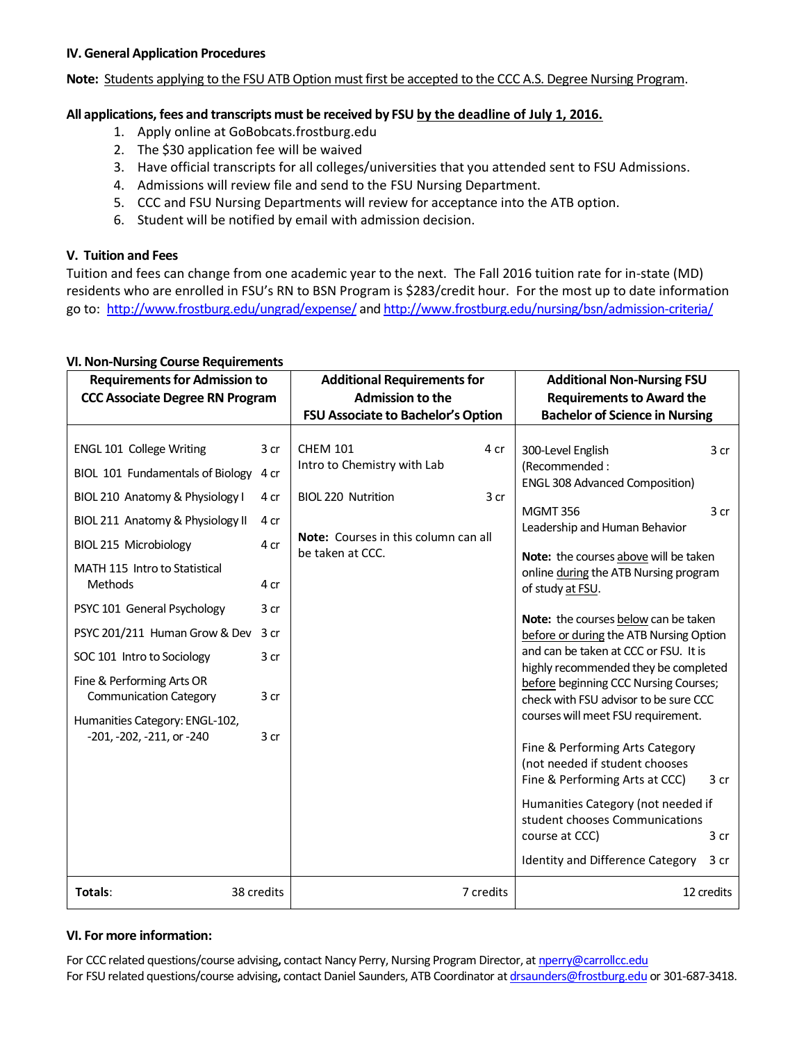#### **IV. General Application Procedures**

**Note:** Students applying to the FSU ATB Option must first be accepted to the CCC A.S. Degree Nursing Program.

### **All applications, fees and transcripts must be received by FSU by the deadline of July 1, 2016.**

- 1. Apply online at GoBobcats.frostburg.edu
- 2. The \$30 application fee will be waived
- 3. Have official transcripts for all colleges/universities that you attended sent to FSU Admissions.
- 4. Admissions will review file and send to the FSU Nursing Department.
- 5. CCC and FSU Nursing Departments will review for acceptance into the ATB option.
- 6. Student will be notified by email with admission decision.

#### **V. Tuition and Fees**

Tuition and fees can change from one academic year to the next. The Fall 2016 tuition rate for in-state (MD) residents who are enrolled in FSU's RN to BSN Program is \$283/credit hour. For the most up to date information go to: <http://www.frostburg.edu/ungrad/expense/> an[d http://www.frostburg.edu/nursing/bsn/admission-criteria/](http://www.frostburg.edu/nursing/bsn/admission-criteria/)

| <b>Requirements for Admission to</b><br><b>CCC Associate Degree RN Program</b>               |              | <b>Additional Requirements for</b><br><b>Admission to the</b><br>FSU Associate to Bachelor's Option |      | <b>Additional Non-Nursing FSU</b><br><b>Requirements to Award the</b><br><b>Bachelor of Science in Nursing</b>           |  |
|----------------------------------------------------------------------------------------------|--------------|-----------------------------------------------------------------------------------------------------|------|--------------------------------------------------------------------------------------------------------------------------|--|
| <b>ENGL 101 College Writing</b>                                                              | 3 cr         | <b>CHEM 101</b><br>4 cr<br>Intro to Chemistry with Lab                                              |      | 300-Level English<br>3 cr<br>(Recommended:                                                                               |  |
| BIOL 101 Fundamentals of Biology<br>BIOL 210 Anatomy & Physiology I                          | 4 cr<br>4 cr | <b>BIOL 220 Nutrition</b>                                                                           | 3 cr | <b>ENGL 308 Advanced Composition)</b><br><b>MGMT 356</b><br>3 cr                                                         |  |
| BIOL 211 Anatomy & Physiology II<br>BIOL 215 Microbiology<br>MATH 115 Intro to Statistical   | 4 cr<br>4 cr | Note: Courses in this column can all<br>be taken at CCC.                                            |      | Leadership and Human Behavior<br>Note: the courses above will be taken<br>online during the ATB Nursing program          |  |
| Methods<br>PSYC 101 General Psychology                                                       | 4 cr<br>3 cr |                                                                                                     |      | of study at FSU.<br>Note: the courses below can be taken                                                                 |  |
| PSYC 201/211 Human Grow & Dev<br>SOC 101 Intro to Sociology                                  | 3 cr<br>3 cr |                                                                                                     |      | before or during the ATB Nursing Option<br>and can be taken at CCC or FSU. It is<br>highly recommended they be completed |  |
| Fine & Performing Arts OR<br><b>Communication Category</b><br>Humanities Category: ENGL-102, | 3 cr         |                                                                                                     |      | before beginning CCC Nursing Courses;<br>check with FSU advisor to be sure CCC<br>courses will meet FSU requirement.     |  |
| -201, -202, -211, or -240                                                                    | 3 cr         |                                                                                                     |      | Fine & Performing Arts Category<br>(not needed if student chooses<br>Fine & Performing Arts at CCC)<br>3 cr              |  |
|                                                                                              |              |                                                                                                     |      | Humanities Category (not needed if<br>student chooses Communications<br>course at CCC)<br>3 cr                           |  |
|                                                                                              |              |                                                                                                     |      | Identity and Difference Category<br>3 cr                                                                                 |  |
| Totals:                                                                                      | 38 credits   | 7 credits                                                                                           |      | 12 credits                                                                                                               |  |

## **VI. Non-Nursing Course Requirements**

#### **VI. For more information:**

For CCC related questions/course advising**,** contact Nancy Perry, Nursing Program Director, a[t nperry@carrollcc.edu](mailto:nperry@carrollcc.edu)  For FSU related questions/course advising**,** contact Daniel Saunders, ATB Coordinator a[t drsaunders@frostburg.edu](mailto:drsaunders@frostburg.edu) or 301-687-3418.